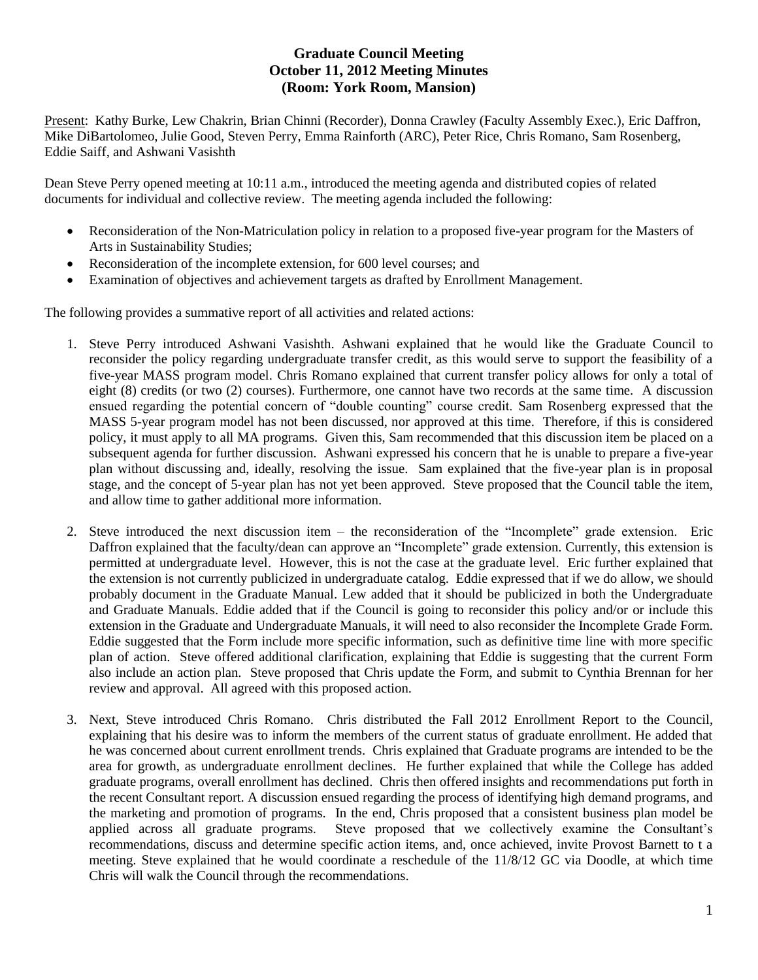## **Graduate Council Meeting October 11, 2012 Meeting Minutes (Room: York Room, Mansion)**

Present: Kathy Burke, Lew Chakrin, Brian Chinni (Recorder), Donna Crawley (Faculty Assembly Exec.), Eric Daffron, Mike DiBartolomeo, Julie Good, Steven Perry, Emma Rainforth (ARC), Peter Rice, Chris Romano, Sam Rosenberg, Eddie Saiff, and Ashwani Vasishth

Dean Steve Perry opened meeting at 10:11 a.m., introduced the meeting agenda and distributed copies of related documents for individual and collective review. The meeting agenda included the following:

- Reconsideration of the Non-Matriculation policy in relation to a proposed five-year program for the Masters of Arts in Sustainability Studies;
- Reconsideration of the incomplete extension, for 600 level courses; and
- Examination of objectives and achievement targets as drafted by Enrollment Management.

The following provides a summative report of all activities and related actions:

- 1. Steve Perry introduced Ashwani Vasishth. Ashwani explained that he would like the Graduate Council to reconsider the policy regarding undergraduate transfer credit, as this would serve to support the feasibility of a five-year MASS program model. Chris Romano explained that current transfer policy allows for only a total of eight (8) credits (or two (2) courses). Furthermore, one cannot have two records at the same time. A discussion ensued regarding the potential concern of "double counting" course credit. Sam Rosenberg expressed that the MASS 5-year program model has not been discussed, nor approved at this time. Therefore, if this is considered policy, it must apply to all MA programs. Given this, Sam recommended that this discussion item be placed on a subsequent agenda for further discussion. Ashwani expressed his concern that he is unable to prepare a five-year plan without discussing and, ideally, resolving the issue. Sam explained that the five-year plan is in proposal stage, and the concept of 5-year plan has not yet been approved. Steve proposed that the Council table the item, and allow time to gather additional more information.
- 2. Steve introduced the next discussion item the reconsideration of the "Incomplete" grade extension. Eric Daffron explained that the faculty/dean can approve an "Incomplete" grade extension. Currently, this extension is permitted at undergraduate level. However, this is not the case at the graduate level. Eric further explained that the extension is not currently publicized in undergraduate catalog. Eddie expressed that if we do allow, we should probably document in the Graduate Manual. Lew added that it should be publicized in both the Undergraduate and Graduate Manuals. Eddie added that if the Council is going to reconsider this policy and/or or include this extension in the Graduate and Undergraduate Manuals, it will need to also reconsider the Incomplete Grade Form. Eddie suggested that the Form include more specific information, such as definitive time line with more specific plan of action. Steve offered additional clarification, explaining that Eddie is suggesting that the current Form also include an action plan. Steve proposed that Chris update the Form, and submit to Cynthia Brennan for her review and approval. All agreed with this proposed action.
- 3. Next, Steve introduced Chris Romano. Chris distributed the Fall 2012 Enrollment Report to the Council, explaining that his desire was to inform the members of the current status of graduate enrollment. He added that he was concerned about current enrollment trends. Chris explained that Graduate programs are intended to be the area for growth, as undergraduate enrollment declines. He further explained that while the College has added graduate programs, overall enrollment has declined. Chris then offered insights and recommendations put forth in the recent Consultant report. A discussion ensued regarding the process of identifying high demand programs, and the marketing and promotion of programs. In the end, Chris proposed that a consistent business plan model be applied across all graduate programs. Steve proposed that we collectively examine the Consultant's recommendations, discuss and determine specific action items, and, once achieved, invite Provost Barnett to t a meeting. Steve explained that he would coordinate a reschedule of the 11/8/12 GC via Doodle, at which time Chris will walk the Council through the recommendations.